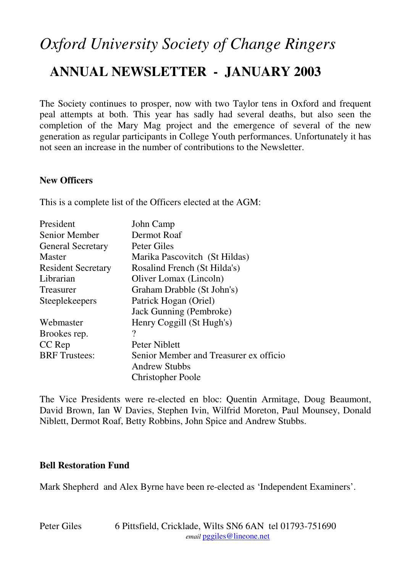# *Oxford University Society of Change Ringers*  **ANNUAL NEWSLETTER - JANUARY 2003**

The Society continues to prosper, now with two Taylor tens in Oxford and frequent peal attempts at both. This year has sadly had several deaths, but also seen the completion of the Mary Mag project and the emergence of several of the new generation as regular participants in College Youth performances. Unfortunately it has not seen an increase in the number of contributions to the Newsletter.

#### **New Officers**

This is a complete list of the Officers elected at the AGM:

| President                 | John Camp                              |
|---------------------------|----------------------------------------|
| Senior Member             | Dermot Roaf                            |
| <b>General Secretary</b>  | Peter Giles                            |
| <b>Master</b>             | Marika Pascovitch (St Hildas)          |
| <b>Resident Secretary</b> | Rosalind French (St Hilda's)           |
| Librarian                 | Oliver Lomax (Lincoln)                 |
| Treasurer                 | Graham Drabble (St John's)             |
| Steeplekeepers            | Patrick Hogan (Oriel)                  |
|                           | Jack Gunning (Pembroke)                |
| Webmaster                 | Henry Coggill (St Hugh's)              |
| Brookes rep.              | $\gamma$                               |
| CC Rep                    | <b>Peter Niblett</b>                   |
| <b>BRF</b> Trustees:      | Senior Member and Treasurer ex officio |
|                           | <b>Andrew Stubbs</b>                   |
|                           | <b>Christopher Poole</b>               |

The Vice Presidents were re-elected en bloc: Quentin Armitage, Doug Beaumont, David Brown, Ian W Davies, Stephen Ivin, Wilfrid Moreton, Paul Mounsey, Donald Niblett, Dermot Roaf, Betty Robbins, John Spice and Andrew Stubbs.

#### **Bell Restoration Fund**

Mark Shepherd and Alex Byrne have been re-elected as 'Independent Examiners'.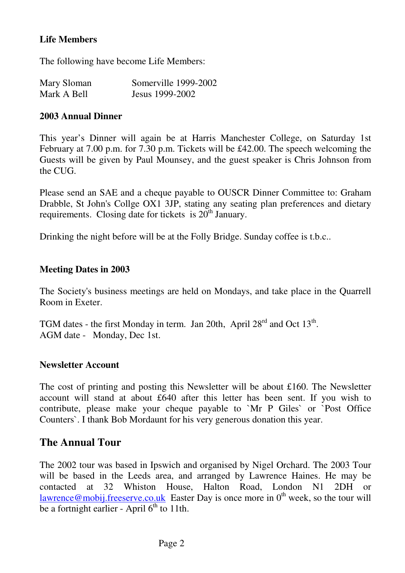# **Life Members**

The following have become Life Members:

| Mary Sloman | Somerville 1999-2002 |
|-------------|----------------------|
| Mark A Bell | Jesus 1999-2002      |

#### **2003 Annual Dinner**

This year's Dinner will again be at Harris Manchester College, on Saturday 1st February at 7.00 p.m. for 7.30 p.m. Tickets will be £42.00. The speech welcoming the Guests will be given by Paul Mounsey, and the guest speaker is Chris Johnson from the CUG.

Please send an SAE and a cheque payable to OUSCR Dinner Committee to: Graham Drabble, St John's Collge OX1 3JP, stating any seating plan preferences and dietary requirements. Closing date for tickets is  $20<sup>th</sup>$  January.

Drinking the night before will be at the Folly Bridge. Sunday coffee is t.b.c..

#### **Meeting Dates in 2003**

The Society's business meetings are held on Mondays, and take place in the Quarrell Room in Exeter.

TGM dates - the first Monday in term. Jan 20th, April  $28<sup>rd</sup>$  and Oct  $13<sup>th</sup>$ . AGM date - Monday, Dec 1st.

#### **Newsletter Account**

The cost of printing and posting this Newsletter will be about £160. The Newsletter account will stand at about £640 after this letter has been sent. If you wish to contribute, please make your cheque payable to `Mr P Giles` or `Post Office Counters`. I thank Bob Mordaunt for his very generous donation this year.

# **The Annual Tour**

The 2002 tour was based in Ipswich and organised by Nigel Orchard. The 2003 Tour will be based in the Leeds area, and arranged by Lawrence Haines. He may be contacted at 32 Whiston House, Halton Road, London N1 2DH or lawrence@mobij.freeserve.co.uk Easter Day is once more in  $0<sup>th</sup>$  week, so the tour will be a fortnight earlier - April  $6<sup>th</sup>$  to 11th.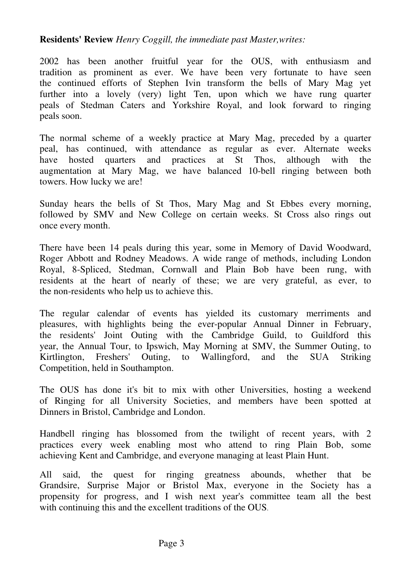#### **Residents' Review** *Henry Coggill, the immediate past Master,writes:*

2002 has been another fruitful year for the OUS, with enthusiasm and tradition as prominent as ever. We have been very fortunate to have seen the continued efforts of Stephen Ivin transform the bells of Mary Mag yet further into a lovely (very) light Ten, upon which we have rung quarter peals of Stedman Caters and Yorkshire Royal, and look forward to ringing peals soon.

The normal scheme of a weekly practice at Mary Mag, preceded by a quarter peal, has continued, with attendance as regular as ever. Alternate weeks have hosted quarters and practices at St Thos, although with the augmentation at Mary Mag, we have balanced 10-bell ringing between both towers. How lucky we are!

Sunday hears the bells of St Thos, Mary Mag and St Ebbes every morning, followed by SMV and New College on certain weeks. St Cross also rings out once every month.

There have been 14 peals during this year, some in Memory of David Woodward, Roger Abbott and Rodney Meadows. A wide range of methods, including London Royal, 8-Spliced, Stedman, Cornwall and Plain Bob have been rung, with residents at the heart of nearly of these; we are very grateful, as ever, to the non-residents who help us to achieve this.

The regular calendar of events has yielded its customary merriments and pleasures, with highlights being the ever-popular Annual Dinner in February, the residents' Joint Outing with the Cambridge Guild, to Guildford this year, the Annual Tour, to Ipswich, May Morning at SMV, the Summer Outing, to Kirtlington, Freshers' Outing, to Wallingford, and the SUA Striking Competition, held in Southampton.

The OUS has done it's bit to mix with other Universities, hosting a weekend of Ringing for all University Societies, and members have been spotted at Dinners in Bristol, Cambridge and London.

Handbell ringing has blossomed from the twilight of recent years, with 2 practices every week enabling most who attend to ring Plain Bob, some achieving Kent and Cambridge, and everyone managing at least Plain Hunt.

All said, the quest for ringing greatness abounds, whether that be Grandsire, Surprise Major or Bristol Max, everyone in the Society has a propensity for progress, and I wish next year's committee team all the best with continuing this and the excellent traditions of the OUS.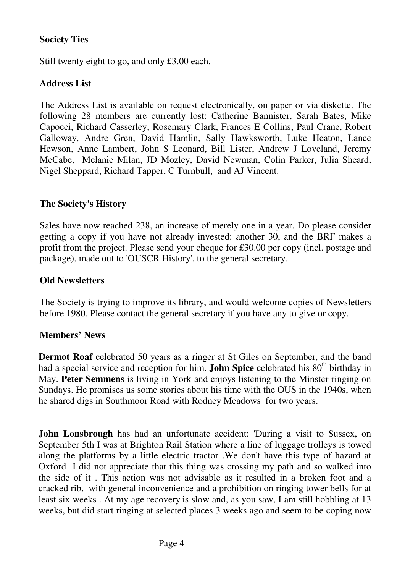# **Society Ties**

Still twenty eight to go, and only £3.00 each.

# **Address List**

The Address List is available on request electronically, on paper or via diskette. The following 28 members are currently lost: Catherine Bannister, Sarah Bates, Mike Capocci, Richard Casserley, Rosemary Clark, Frances E Collins, Paul Crane, Robert Galloway, Andre Gren, David Hamlin, Sally Hawksworth, Luke Heaton, Lance Hewson, Anne Lambert, John S Leonard, Bill Lister, Andrew J Loveland, Jeremy McCabe, Melanie Milan, JD Mozley, David Newman, Colin Parker, Julia Sheard, Nigel Sheppard, Richard Tapper, C Turnbull, and AJ Vincent.

## **The Society's History**

Sales have now reached 238, an increase of merely one in a year. Do please consider getting a copy if you have not already invested: another 30, and the BRF makes a profit from the project. Please send your cheque for £30.00 per copy (incl. postage and package), made out to 'OUSCR History', to the general secretary.

#### **Old Newsletters**

The Society is trying to improve its library, and would welcome copies of Newsletters before 1980. Please contact the general secretary if you have any to give or copy.

#### **Members' News**

**Dermot Roaf** celebrated 50 years as a ringer at St Giles on September, and the band had a special service and reception for him. **John Spice** celebrated his 80<sup>th</sup> birthday in May. **Peter Semmens** is living in York and enjoys listening to the Minster ringing on Sundays. He promises us some stories about his time with the OUS in the 1940s, when he shared digs in Southmoor Road with Rodney Meadows for two years.

**John Lonsbrough** has had an unfortunate accident: 'During a visit to Sussex, on September 5th I was at Brighton Rail Station where a line of luggage trolleys is towed along the platforms by a little electric tractor .We don't have this type of hazard at Oxford I did not appreciate that this thing was crossing my path and so walked into the side of it . This action was not advisable as it resulted in a broken foot and a cracked rib, with general inconvenience and a prohibition on ringing tower bells for at least six weeks . At my age recovery is slow and, as you saw, I am still hobbling at 13 weeks, but did start ringing at selected places 3 weeks ago and seem to be coping now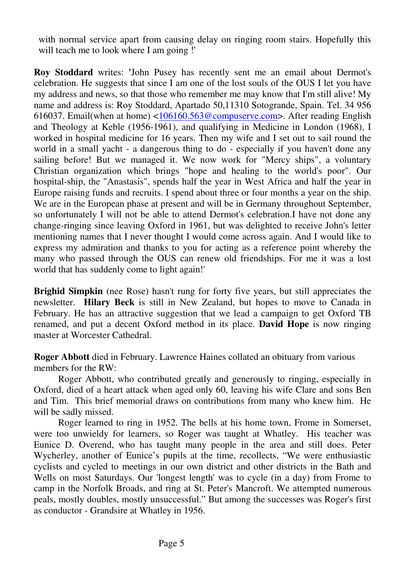with normal service apart from causing delay on ringing room stairs. Hopefully this will teach me to look where I am going !'

**Roy Stoddard** writes: **'**John Pusey has recently sent me an email about Dermot's celebration. He suggests that since I am one of the lost souls of the OUS I let you have my address and news, so that those who remember me may know that I'm still alive! My name and address is: Roy Stoddard, Apartado 50,11310 Sotogrande, Spain. Tel. 34 956 616037. Email(when at home) <106160.563@compuserve.com>. After reading English and Theology at Keble (1956-1961), and qualifying in Medicine in London (1968), I worked in hospital medicine for 16 years. Then my wife and I set out to sail round the world in a small yacht - a dangerous thing to do - especially if you haven't done any sailing before! But we managed it. We now work for "Mercy ships", a voluntary Christian organization which brings "hope and healing to the world's poor". Our hospital-ship, the "Anastasis", spends half the year in West Africa and half the year in Europe raising funds and recruits. I spend about three or four months a year on the ship. We are in the European phase at present and will be in Germany throughout September, so unfortunately I will not be able to attend Dermot's celebration.I have not done any change-ringing since leaving Oxford in 1961, but was delighted to receive John's letter mentioning names that I never thought I would come across again. And I would like to express my admiration and thanks to you for acting as a reference point whereby the many who passed through the OUS can renew old friendships. For me it was a lost world that has suddenly come to light again!'

**Brighid Simpkin** (nee Rose) hasn't rung for forty five years, but still appreciates the newsletter. **Hilary Beck** is still in New Zealand, but hopes to move to Canada in February. He has an attractive suggestion that we lead a campaign to get Oxford TB renamed, and put a decent Oxford method in its place. **David Hope** is now ringing master at Worcester Cathedral.

**Roger Abbott** died in February. Lawrence Haines collated an obituary from various members for the RW:

Roger Abbott, who contributed greatly and generously to ringing, especially in Oxford, died of a heart attack when aged only 60, leaving his wife Clare and sons Ben and Tim. This brief memorial draws on contributions from many who knew him. He will be sadly missed.

Roger learned to ring in 1952. The bells at his home town, Frome in Somerset, were too unwieldy for learners, so Roger was taught at Whatley. His teacher was Eunice D. Overend, who has taught many people in the area and still does. Peter Wycherley, another of Eunice's pupils at the time, recollects, "We were enthusiastic cyclists and cycled to meetings in our own district and other districts in the Bath and Wells on most Saturdays. Our 'longest length' was to cycle (in a day) from Frome to camp in the Norfolk Broads, and ring at St. Peter's Mancroft. We attempted numerous peals, mostly doubles, mostly unsuccessful." But among the successes was Roger's first as conductor - Grandsire at Whatley in 1956.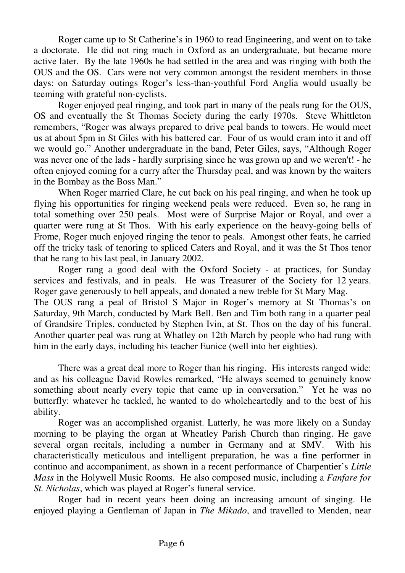Roger came up to St Catherine's in 1960 to read Engineering, and went on to take a doctorate. He did not ring much in Oxford as an undergraduate, but became more active later. By the late 1960s he had settled in the area and was ringing with both the OUS and the OS. Cars were not very common amongst the resident members in those days: on Saturday outings Roger's less-than-youthful Ford Anglia would usually be teeming with grateful non-cyclists.

Roger enjoyed peal ringing, and took part in many of the peals rung for the OUS, OS and eventually the St Thomas Society during the early 1970s. Steve Whittleton remembers, "Roger was always prepared to drive peal bands to towers. He would meet us at about 5pm in St Giles with his battered car. Four of us would cram into it and off we would go." Another undergraduate in the band, Peter Giles, says, "Although Roger was never one of the lads - hardly surprising since he was grown up and we weren't! - he often enjoyed coming for a curry after the Thursday peal, and was known by the waiters in the Bombay as the Boss Man."

When Roger married Clare, he cut back on his peal ringing, and when he took up flying his opportunities for ringing weekend peals were reduced. Even so, he rang in total something over 250 peals. Most were of Surprise Major or Royal, and over a quarter were rung at St Thos. With his early experience on the heavy-going bells of Frome, Roger much enjoyed ringing the tenor to peals. Amongst other feats, he carried off the tricky task of tenoring to spliced Caters and Royal, and it was the St Thos tenor that he rang to his last peal, in January 2002.

Roger rang a good deal with the Oxford Society - at practices, for Sunday services and festivals, and in peals. He was Treasurer of the Society for 12 years. Roger gave generously to bell appeals, and donated a new treble for St Mary Mag. The OUS rang a peal of Bristol S Major in Roger's memory at St Thomas's on

Saturday, 9th March, conducted by Mark Bell. Ben and Tim both rang in a quarter peal of Grandsire Triples, conducted by Stephen Ivin, at St. Thos on the day of his funeral. Another quarter peal was rung at Whatley on 12th March by people who had rung with him in the early days, including his teacher Eunice (well into her eighties).

There was a great deal more to Roger than his ringing. His interests ranged wide: and as his colleague David Rowles remarked, "He always seemed to genuinely know something about nearly every topic that came up in conversation." Yet he was no butterfly: whatever he tackled, he wanted to do wholeheartedly and to the best of his ability.

Roger was an accomplished organist. Latterly, he was more likely on a Sunday morning to be playing the organ at Wheatley Parish Church than ringing. He gave several organ recitals, including a number in Germany and at SMV. With his characteristically meticulous and intelligent preparation, he was a fine performer in continuo and accompaniment, as shown in a recent performance of Charpentier's *Little Mass* in the Holywell Music Rooms. He also composed music, including a *Fanfare for St. Nicholas*, which was played at Roger's funeral service.

Roger had in recent years been doing an increasing amount of singing. He enjoyed playing a Gentleman of Japan in *The Mikado*, and travelled to Menden, near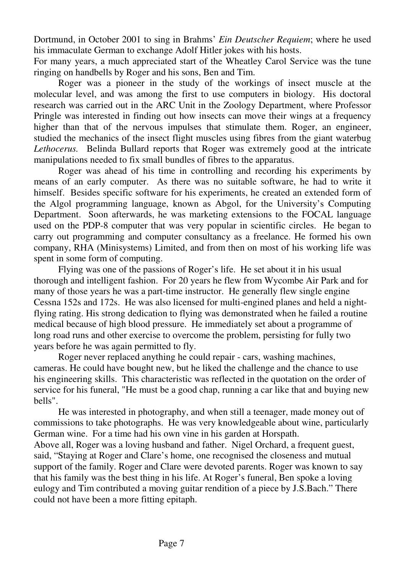Dortmund, in October 2001 to sing in Brahms' *Ein Deutscher Requiem*; where he used his immaculate German to exchange Adolf Hitler jokes with his hosts.

For many years, a much appreciated start of the Wheatley Carol Service was the tune ringing on handbells by Roger and his sons, Ben and Tim.

Roger was a pioneer in the study of the workings of insect muscle at the molecular level, and was among the first to use computers in biology. His doctoral research was carried out in the ARC Unit in the Zoology Department, where Professor Pringle was interested in finding out how insects can move their wings at a frequency higher than that of the nervous impulses that stimulate them. Roger, an engineer, studied the mechanics of the insect flight muscles using fibres from the giant waterbug *Lethocerus.* Belinda Bullard reports that Roger was extremely good at the intricate manipulations needed to fix small bundles of fibres to the apparatus.

Roger was ahead of his time in controlling and recording his experiments by means of an early computer. As there was no suitable software, he had to write it himself. Besides specific software for his experiments, he created an extended form of the Algol programming language, known as Abgol, for the University's Computing Department. Soon afterwards, he was marketing extensions to the FOCAL language used on the PDP-8 computer that was very popular in scientific circles. He began to carry out programming and computer consultancy as a freelance. He formed his own company, RHA (Minisystems) Limited, and from then on most of his working life was spent in some form of computing.

Flying was one of the passions of Roger's life. He set about it in his usual thorough and intelligent fashion. For 20 years he flew from Wycombe Air Park and for many of those years he was a part-time instructor. He generally flew single engine Cessna 152s and 172s. He was also licensed for multi-engined planes and held a nightflying rating. His strong dedication to flying was demonstrated when he failed a routine medical because of high blood pressure. He immediately set about a programme of long road runs and other exercise to overcome the problem, persisting for fully two years before he was again permitted to fly.

Roger never replaced anything he could repair - cars, washing machines, cameras. He could have bought new, but he liked the challenge and the chance to use his engineering skills. This characteristic was reflected in the quotation on the order of service for his funeral, "He must be a good chap, running a car like that and buying new bells".

He was interested in photography, and when still a teenager, made money out of commissions to take photographs. He was very knowledgeable about wine, particularly German wine. For a time had his own vine in his garden at Horspath.

Above all, Roger was a loving husband and father. Nigel Orchard, a frequent guest, said, "Staying at Roger and Clare's home, one recognised the closeness and mutual support of the family. Roger and Clare were devoted parents. Roger was known to say that his family was the best thing in his life. At Roger's funeral, Ben spoke a loving eulogy and Tim contributed a moving guitar rendition of a piece by J.S.Bach." There could not have been a more fitting epitaph.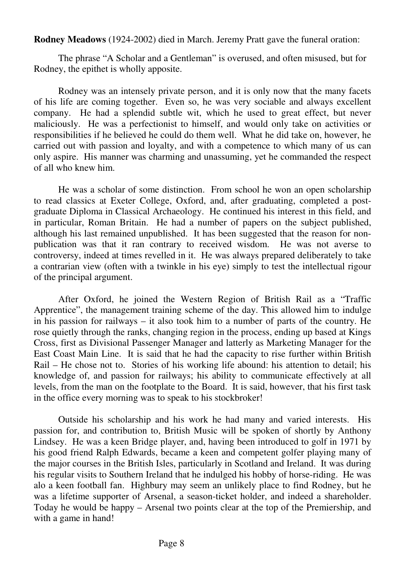**Rodney Meadows** (1924-2002) died in March. Jeremy Pratt gave the funeral oration:

The phrase "A Scholar and a Gentleman" is overused, and often misused, but for Rodney, the epithet is wholly apposite.

Rodney was an intensely private person, and it is only now that the many facets of his life are coming together. Even so, he was very sociable and always excellent company. He had a splendid subtle wit, which he used to great effect, but never maliciously. He was a perfectionist to himself, and would only take on activities or responsibilities if he believed he could do them well. What he did take on, however, he carried out with passion and loyalty, and with a competence to which many of us can only aspire. His manner was charming and unassuming, yet he commanded the respect of all who knew him.

He was a scholar of some distinction. From school he won an open scholarship to read classics at Exeter College, Oxford, and, after graduating, completed a postgraduate Diploma in Classical Archaeology. He continued his interest in this field, and in particular, Roman Britain. He had a number of papers on the subject published, although his last remained unpublished. It has been suggested that the reason for nonpublication was that it ran contrary to received wisdom. He was not averse to controversy, indeed at times revelled in it. He was always prepared deliberately to take a contrarian view (often with a twinkle in his eye) simply to test the intellectual rigour of the principal argument.

After Oxford, he joined the Western Region of British Rail as a "Traffic Apprentice", the management training scheme of the day. This allowed him to indulge in his passion for railways – it also took him to a number of parts of the country. He rose quietly through the ranks, changing region in the process, ending up based at Kings Cross, first as Divisional Passenger Manager and latterly as Marketing Manager for the East Coast Main Line. It is said that he had the capacity to rise further within British Rail – He chose not to. Stories of his working life abound: his attention to detail; his knowledge of, and passion for railways; his ability to communicate effectively at all levels, from the man on the footplate to the Board. It is said, however, that his first task in the office every morning was to speak to his stockbroker!

Outside his scholarship and his work he had many and varied interests. His passion for, and contribution to, British Music will be spoken of shortly by Anthony Lindsey. He was a keen Bridge player, and, having been introduced to golf in 1971 by his good friend Ralph Edwards, became a keen and competent golfer playing many of the major courses in the British Isles, particularly in Scotland and Ireland. It was during his regular visits to Southern Ireland that he indulged his hobby of horse-riding. He was alo a keen football fan. Highbury may seem an unlikely place to find Rodney, but he was a lifetime supporter of Arsenal, a season-ticket holder, and indeed a shareholder. Today he would be happy – Arsenal two points clear at the top of the Premiership, and with a game in hand!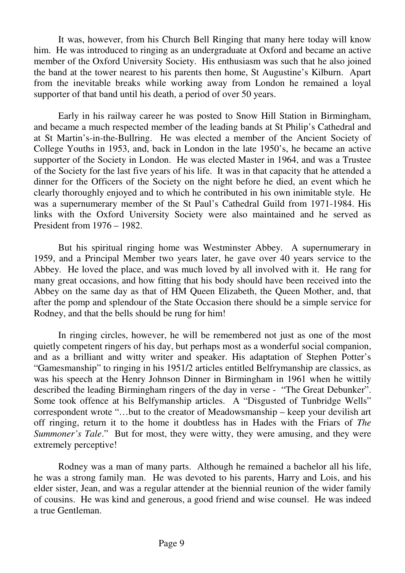It was, however, from his Church Bell Ringing that many here today will know him. He was introduced to ringing as an undergraduate at Oxford and became an active member of the Oxford University Society. His enthusiasm was such that he also joined the band at the tower nearest to his parents then home, St Augustine's Kilburn. Apart from the inevitable breaks while working away from London he remained a loyal supporter of that band until his death, a period of over 50 years.

Early in his railway career he was posted to Snow Hill Station in Birmingham, and became a much respected member of the leading bands at St Philip's Cathedral and at St Martin's-in-the-Bullring. He was elected a member of the Ancient Society of College Youths in 1953, and, back in London in the late 1950's, he became an active supporter of the Society in London. He was elected Master in 1964, and was a Trustee of the Society for the last five years of his life. It was in that capacity that he attended a dinner for the Officers of the Society on the night before he died, an event which he clearly thoroughly enjoyed and to which he contributed in his own inimitable style. He was a supernumerary member of the St Paul's Cathedral Guild from 1971-1984. His links with the Oxford University Society were also maintained and he served as President from 1976 – 1982.

But his spiritual ringing home was Westminster Abbey. A supernumerary in 1959, and a Principal Member two years later, he gave over 40 years service to the Abbey. He loved the place, and was much loved by all involved with it. He rang for many great occasions, and how fitting that his body should have been received into the Abbey on the same day as that of HM Queen Elizabeth, the Queen Mother, and, that after the pomp and splendour of the State Occasion there should be a simple service for Rodney, and that the bells should be rung for him!

In ringing circles, however, he will be remembered not just as one of the most quietly competent ringers of his day, but perhaps most as a wonderful social companion, and as a brilliant and witty writer and speaker. His adaptation of Stephen Potter's "Gamesmanship" to ringing in his 1951/2 articles entitled Belfrymanship are classics, as was his speech at the Henry Johnson Dinner in Birmingham in 1961 when he wittily described the leading Birmingham ringers of the day in verse - "The Great Debunker". Some took offence at his Belfymanship articles. A "Disgusted of Tunbridge Wells" correspondent wrote "…but to the creator of Meadowsmanship – keep your devilish art off ringing, return it to the home it doubtless has in Hades with the Friars of *The Summoner's Tale.*" But for most, they were witty, they were amusing, and they were extremely perceptive!

Rodney was a man of many parts. Although he remained a bachelor all his life, he was a strong family man. He was devoted to his parents, Harry and Lois, and his elder sister, Jean, and was a regular attender at the biennial reunion of the wider family of cousins. He was kind and generous, a good friend and wise counsel. He was indeed a true Gentleman.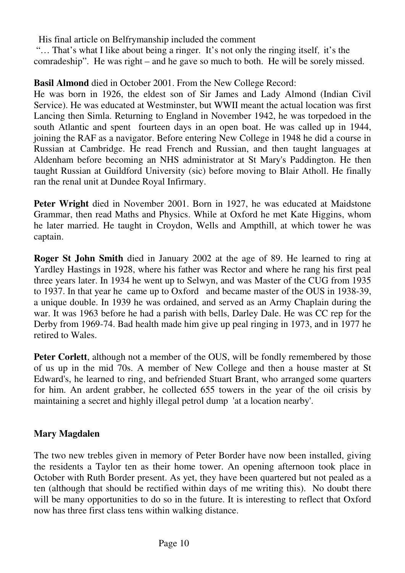His final article on Belfrymanship included the comment

 "… That's what I like about being a ringer. It's not only the ringing itself, it's the comradeship". He was right – and he gave so much to both. He will be sorely missed.

# **Basil Almond** died in October 2001. From the New College Record:

He was born in 1926, the eldest son of Sir James and Lady Almond (Indian Civil Service). He was educated at Westminster, but WWII meant the actual location was first Lancing then Simla. Returning to England in November 1942, he was torpedoed in the south Atlantic and spent fourteen days in an open boat. He was called up in 1944, joining the RAF as a navigator. Before entering New College in 1948 he did a course in Russian at Cambridge. He read French and Russian, and then taught languages at Aldenham before becoming an NHS administrator at St Mary's Paddington. He then taught Russian at Guildford University (sic) before moving to Blair Atholl. He finally ran the renal unit at Dundee Royal Infirmary.

**Peter Wright** died in November 2001. Born in 1927, he was educated at Maidstone Grammar, then read Maths and Physics. While at Oxford he met Kate Higgins, whom he later married. He taught in Croydon, Wells and Ampthill, at which tower he was captain.

**Roger St John Smith** died in January 2002 at the age of 89. He learned to ring at Yardley Hastings in 1928, where his father was Rector and where he rang his first peal three years later. In 1934 he went up to Selwyn, and was Master of the CUG from 1935 to 1937. In that year he came up to Oxford and became master of the OUS in 1938-39, a unique double. In 1939 he was ordained, and served as an Army Chaplain during the war. It was 1963 before he had a parish with bells, Darley Dale. He was CC rep for the Derby from 1969-74. Bad health made him give up peal ringing in 1973, and in 1977 he retired to Wales.

**Peter Corlett**, although not a member of the OUS, will be fondly remembered by those of us up in the mid 70s. A member of New College and then a house master at St Edward's, he learned to ring, and befriended Stuart Brant, who arranged some quarters for him. An ardent grabber, he collected 655 towers in the year of the oil crisis by maintaining a secret and highly illegal petrol dump 'at a location nearby'.

# **Mary Magdalen**

The two new trebles given in memory of Peter Border have now been installed, giving the residents a Taylor ten as their home tower. An opening afternoon took place in October with Ruth Border present. As yet, they have been quartered but not pealed as a ten (although that should be rectified within days of me writing this). No doubt there will be many opportunities to do so in the future. It is interesting to reflect that Oxford now has three first class tens within walking distance.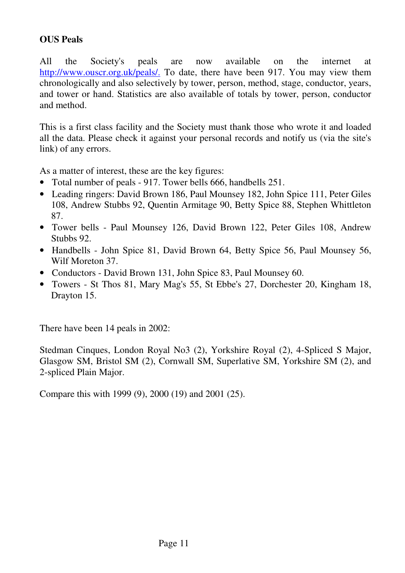# **OUS Peals**

All the Society's peals are now available on the internet at http://www.ouscr.org.uk/peals/. To date, there have been 917. You may view them chronologically and also selectively by tower, person, method, stage, conductor, years, and tower or hand. Statistics are also available of totals by tower, person, conductor and method.

This is a first class facility and the Society must thank those who wrote it and loaded all the data. Please check it against your personal records and notify us (via the site's link) of any errors.

As a matter of interest, these are the key figures:

- Total number of peals 917. Tower bells 666, handbells 251.
- Leading ringers: David Brown 186, Paul Mounsey 182, John Spice 111, Peter Giles 108, Andrew Stubbs 92, Quentin Armitage 90, Betty Spice 88, Stephen Whittleton 87.
- Tower bells Paul Mounsey 126, David Brown 122, Peter Giles 108, Andrew Stubbs 92.
- Handbells John Spice 81, David Brown 64, Betty Spice 56, Paul Mounsey 56, Wilf Moreton 37.
- Conductors David Brown 131, John Spice 83, Paul Mounsey 60.
- Towers St Thos 81, Mary Mag's 55, St Ebbe's 27, Dorchester 20, Kingham 18, Drayton 15.

There have been 14 peals in 2002:

Stedman Cinques, London Royal No3 (2), Yorkshire Royal (2), 4-Spliced S Major, Glasgow SM, Bristol SM (2), Cornwall SM, Superlative SM, Yorkshire SM (2), and 2-spliced Plain Major.

Compare this with 1999 (9), 2000 (19) and 2001 (25).